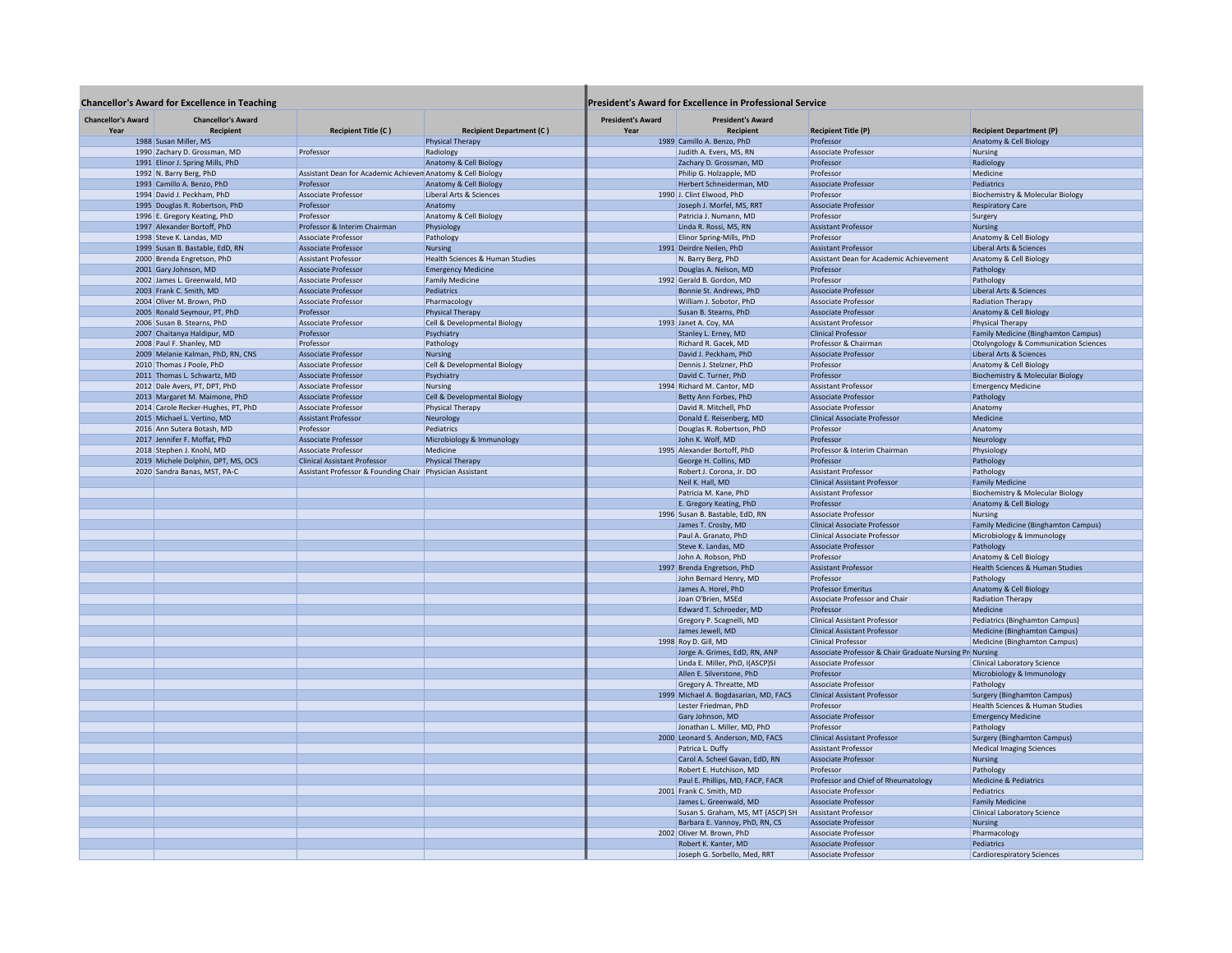| <b>Chancellor's Award for Excellence in Teaching</b> |                                               |                                                             | <b>President's Award for Excellence in Professional Service</b> |                                  |                                                             |                                                          |                                             |
|------------------------------------------------------|-----------------------------------------------|-------------------------------------------------------------|-----------------------------------------------------------------|----------------------------------|-------------------------------------------------------------|----------------------------------------------------------|---------------------------------------------|
| <b>Chancellor's Award</b><br>Year                    | <b>Chancellor's Award</b><br><b>Recipient</b> | <b>Recipient Title (C)</b>                                  | <b>Recipient Department (C)</b>                                 | <b>President's Award</b><br>Year | <b>President's Award</b><br><b>Recipient</b>                | <b>Recipient Title (P)</b>                               | <b>Recipient Department (P)</b>             |
|                                                      | 1988 Susan Miller, MS                         |                                                             | <b>Physical Therapy</b>                                         |                                  | 1989 Camillo A. Benzo, PhD                                  | Professor                                                | Anatomy & Cell Biology                      |
|                                                      | 1990 Zachary D. Grossman, MD                  | Professor                                                   | Radiology                                                       |                                  | Judith A. Evers, MS, RN                                     | Associate Professor                                      | Nursing                                     |
|                                                      | 1991 Elinor J. Spring Mills, PhD              |                                                             | Anatomy & Cell Biology                                          |                                  | Zachary D. Grossman, MD                                     | Professor                                                | Radiology                                   |
|                                                      | 1992 N. Barry Berg, PhD                       | Assistant Dean for Academic Achieven Anatomy & Cell Biology |                                                                 |                                  | Philip G. Holzapple, MD                                     | Professor                                                | Medicine                                    |
|                                                      | 1993 Camillo A. Benzo, PhD                    | Professor                                                   | Anatomy & Cell Biology                                          |                                  | Herbert Schneiderman, MD                                    | Associate Professor                                      | Pediatrics                                  |
|                                                      | 1994 David J. Peckham, PhD                    | Associate Professor                                         | Liberal Arts & Sciences                                         |                                  | 1990 J. Clint Elwood, PhD                                   | Professor                                                | <b>Biochemistry &amp; Molecular Biology</b> |
|                                                      | 1995 Douglas R. Robertson, PhD                | Professor                                                   | Anatomy                                                         |                                  | Joseph J. Morfel, MS, RRT                                   | Associate Professor                                      | <b>Respiratory Care</b>                     |
|                                                      | 1996 E. Gregory Keating, PhD                  | Professor                                                   | Anatomy & Cell Biology                                          |                                  | Patricia J. Numann, MD                                      | Professor                                                | Surgery                                     |
|                                                      | 1997 Alexander Bortoff, PhD                   | Professor & Interim Chairman                                | Physiology                                                      |                                  | Linda R. Rossi, MS, RN                                      | <b>Assistant Professor</b>                               | <b>Nursing</b>                              |
|                                                      | 1998 Steve K. Landas, MD                      | Associate Professor                                         | Pathology                                                       |                                  | Elinor Spring-Mills, PhD                                    | Professor                                                | Anatomy & Cell Biology                      |
|                                                      | 1999 Susan B. Bastable, EdD, RN               | <b>Associate Professor</b>                                  | <b>Nursing</b>                                                  |                                  | 1991 Deirdre Neilen, PhD                                    | <b>Assistant Professor</b>                               | Liberal Arts & Sciences                     |
|                                                      | 2000 Brenda Engretson, PhD                    | <b>Assistant Professor</b>                                  | Health Sciences & Human Studies                                 |                                  | N. Barry Berg, PhD                                          | Assistant Dean for Academic Achievement                  | Anatomy & Cell Biology                      |
|                                                      | 2001 Gary Johnson, MD                         | Associate Professor                                         | <b>Emergency Medicine</b>                                       |                                  | Douglas A. Nelson, MD                                       | Professor                                                | Pathology                                   |
|                                                      | 2002 James L. Greenwald, MD                   | Associate Professor                                         | <b>Family Medicine</b>                                          |                                  | 1992 Gerald B. Gordon, MD                                   | Professor                                                | Pathology                                   |
|                                                      | 2003 Frank C. Smith, MD                       | <b>Associate Professor</b>                                  | Pediatrics                                                      |                                  | Bonnie St. Andrews, PhD                                     | <b>Associate Professor</b>                               | Liberal Arts & Sciences                     |
|                                                      | 2004 Oliver M. Brown, PhD                     | Associate Professor                                         | Pharmacology                                                    |                                  | William J. Sobotor, PhD                                     | Associate Professor                                      | <b>Radiation Therapy</b>                    |
|                                                      | 2005 Ronald Seymour, PT, PhD                  | Professor                                                   | <b>Physical Therapy</b>                                         |                                  | Susan B. Stearns, PhD                                       | <b>Associate Professor</b>                               | Anatomy & Cell Biolog                       |
|                                                      | 2006 Susan B. Stearns, PhD                    | Associate Professor                                         | Cell & Developmental Biology                                    |                                  | 1993 Janet A. Coy, MA                                       | <b>Assistant Professor</b>                               | <b>Physical Therapy</b>                     |
|                                                      | 2007 Chaitanya Haldipur, MD                   | Professor                                                   |                                                                 |                                  | Stanley L. Erney, MD                                        | <b>Clinical Professor</b>                                | Family Medicine (Binghamton Campus)         |
|                                                      | 2008 Paul F. Shanley, MD                      | Professor                                                   | Psychiatry<br>Pathology                                         |                                  | Richard R. Gacek, MD                                        | Professor & Chairman                                     | Otolyngology & Communication Sciences       |
|                                                      |                                               |                                                             |                                                                 |                                  | David J. Peckham, PhD                                       | Associate Professor                                      |                                             |
|                                                      | 2009 Melanie Kalman, PhD, RN, CNS             | <b>Associate Professor</b>                                  | Nursing                                                         |                                  |                                                             |                                                          | Liberal Arts & Sciences                     |
|                                                      | 2010 Thomas J Poole, PhD                      | Associate Professor                                         | Cell & Developmental Biology                                    |                                  | Dennis J. Stelzner, PhD                                     | Professor                                                | Anatomy & Cell Biology                      |
|                                                      | 2011 Thomas L. Schwartz, MD                   | <b>Associate Professor</b>                                  | Psychiatry                                                      |                                  | David C. Turner, PhD                                        | Professor                                                | <b>Biochemistry &amp; Molecular Biology</b> |
|                                                      | 2012 Dale Avers, PT, DPT, PhD                 | Associate Professor                                         | Nursing                                                         |                                  | 1994 Richard M. Cantor, MD                                  | <b>Assistant Professor</b>                               | <b>Emergency Medicine</b>                   |
|                                                      | 2013 Margaret M. Maimone, PhD                 | <b>Associate Professor</b>                                  | Cell & Developmental Biology                                    |                                  | Betty Ann Forbes, PhD                                       | Associate Professor                                      | Pathology                                   |
|                                                      | 2014 Carole Recker-Hughes, PT, PhD            | Associate Professor                                         | <b>Physical Therapy</b>                                         |                                  | David R. Mitchell, PhD                                      | Associate Professor                                      | Anatomy                                     |
|                                                      | 2015 Michael L. Vertino, MD                   | <b>Assistant Professor</b>                                  | Neurology                                                       |                                  | Donald E. Reisenberg, MD                                    | <b>Clinical Associate Professor</b>                      | Medicine                                    |
|                                                      | 2016 Ann Sutera Botash, MD                    | Professor                                                   | Pediatrics                                                      |                                  | Douglas R. Robertson, PhD                                   | Professor                                                | Anatomy                                     |
|                                                      | 2017 Jennifer F. Moffat, PhD                  | <b>Associate Professor</b>                                  | Microbiology & Immunology                                       |                                  | John K. Wolf, MD                                            | Professor                                                | Neurology                                   |
|                                                      | 2018 Stephen J. Knohl, MD                     | Associate Professor                                         | Medicine                                                        |                                  | 1995 Alexander Bortoff, PhD                                 | Professor & Interim Chairman                             | Physiology                                  |
|                                                      | 2019 Michele Dolphin, DPT, MS, OCS            | <b>Clinical Assistant Professor</b>                         | <b>Physical Therapy</b>                                         |                                  | George H. Collins, MD                                       | Professor                                                | Pathology                                   |
|                                                      | 2020 Sandra Banas, MST, PA-C                  | Assistant Professor & Founding Chair Physician Assistant    |                                                                 |                                  | Robert J. Corona, Jr. DO                                    | <b>Assistant Professor</b>                               | Pathology                                   |
|                                                      |                                               |                                                             |                                                                 |                                  | Neil K. Hall, MD                                            | <b>Clinical Assistant Professor</b>                      | <b>Family Medicine</b>                      |
|                                                      |                                               |                                                             |                                                                 |                                  | Patricia M. Kane, PhD                                       | <b>Assistant Professor</b>                               | <b>Biochemistry &amp; Molecular Biology</b> |
|                                                      |                                               |                                                             |                                                                 |                                  | E. Gregory Keating, PhD                                     | Professor                                                | Anatomy & Cell Biology                      |
|                                                      |                                               |                                                             |                                                                 |                                  | 1996 Susan B. Bastable, EdD, RN                             | Associate Professor                                      | <b>Nursing</b>                              |
|                                                      |                                               |                                                             |                                                                 |                                  | James T. Crosby, MD                                         | <b>Clinical Associate Professor</b>                      | Family Medicine (Binghamton Campus)         |
|                                                      |                                               |                                                             |                                                                 |                                  | Paul A. Granato, PhD                                        | <b>Clinical Associate Professor</b>                      | Microbiology & Immunology                   |
|                                                      |                                               |                                                             |                                                                 |                                  | Steve K. Landas, MD                                         | Associate Professor                                      | Pathology                                   |
|                                                      |                                               |                                                             |                                                                 |                                  | John A. Robson, PhD                                         | Professor                                                | Anatomy & Cell Biology                      |
|                                                      |                                               |                                                             |                                                                 |                                  | 1997 Brenda Engretson, PhD                                  | <b>Assistant Professor</b>                               | Health Sciences & Human Studies             |
|                                                      |                                               |                                                             |                                                                 |                                  | John Bernard Henry, MD                                      | Professor                                                | Pathology                                   |
|                                                      |                                               |                                                             |                                                                 |                                  | James A. Horel, PhD                                         | <b>Professor Emeritus</b>                                | Anatomy & Cell Biology                      |
|                                                      |                                               |                                                             |                                                                 |                                  | Joan O'Brien, MSEd                                          | Associate Professor and Chair                            | <b>Radiation Therapy</b>                    |
|                                                      |                                               |                                                             |                                                                 |                                  | Edward T. Schroeder, MD                                     | Professor                                                | Medicine                                    |
|                                                      |                                               |                                                             |                                                                 |                                  | Gregory P. Scagnelli, MD                                    | <b>Clinical Assistant Professor</b>                      | Pediatrics (Binghamton Campus)              |
|                                                      |                                               |                                                             |                                                                 |                                  | James Jewell, MD                                            | <b>Clinical Assistant Professor</b>                      | Medicine (Binghamton Campus)                |
|                                                      |                                               |                                                             |                                                                 |                                  | 1998 Roy D. Gill, MD                                        | <b>Clinical Professor</b>                                | Medicine (Binghamton Campus)                |
|                                                      |                                               |                                                             |                                                                 |                                  | Jorge A. Grimes, EdD, RN, ANP                               | Associate Professor & Chair Graduate Nursing Pri Nursing |                                             |
|                                                      |                                               |                                                             |                                                                 |                                  | Linda E. Miller, PhD, I(ASCP)SI                             | Associate Professor                                      | <b>Clinical Laboratory Science</b>          |
|                                                      |                                               |                                                             |                                                                 |                                  | Allen E. Silverstone, PhD                                   | Professor                                                | Microbiology & Immunology                   |
|                                                      |                                               |                                                             |                                                                 |                                  | Gregory A. Threatte, MD                                     | Associate Professor                                      | Pathology                                   |
|                                                      |                                               |                                                             |                                                                 |                                  | 1999 Michael A. Bogdasarian, MD, FACS                       | <b>Clinical Assistant Professor</b>                      | <b>Surgery (Binghamton Campus)</b>          |
|                                                      |                                               |                                                             |                                                                 |                                  | Lester Friedman, PhD                                        | Professor                                                | Health Sciences & Human Studies             |
|                                                      |                                               |                                                             |                                                                 |                                  | Gary Johnson, MD                                            | Associate Professor                                      | <b>Emergency Medicine</b>                   |
|                                                      |                                               |                                                             |                                                                 |                                  | Jonathan L. Miller, MD, PhD                                 | Professor                                                | Pathology                                   |
|                                                      |                                               |                                                             |                                                                 |                                  | 2000 Leonard S. Anderson, MD, FACS                          | <b>Clinical Assistant Professor</b>                      | Surgery (Binghamton Campus)                 |
|                                                      |                                               |                                                             |                                                                 |                                  | Patrica L. Duffy                                            | <b>Assistant Professor</b>                               | <b>Medical Imaging Sciences</b>             |
|                                                      |                                               |                                                             |                                                                 |                                  | Carol A. Scheel Gavan, EdD, RN                              | <b>Associate Professor</b>                               | <b>Nursing</b>                              |
|                                                      |                                               |                                                             |                                                                 |                                  | Robert E. Hutchison, MD                                     | Professor                                                | Pathology                                   |
|                                                      |                                               |                                                             |                                                                 |                                  | Paul E. Phillips, MD, FACP, FACR                            | Professor and Chief of Rheumatology                      | <b>Medicine &amp; Pediatrics</b>            |
|                                                      |                                               |                                                             |                                                                 |                                  | 2001 Frank C. Smith, MD                                     | Associate Professor                                      | Pediatrics                                  |
|                                                      |                                               |                                                             |                                                                 |                                  | James L. Greenwald, MD                                      | <b>Associate Professor</b>                               | <b>Family Medicine</b>                      |
|                                                      |                                               |                                                             |                                                                 |                                  | Susan S. Graham, MS, MT (ASCP) SH                           | <b>Assistant Professor</b>                               | <b>Clinical Laboratory Science</b>          |
|                                                      |                                               |                                                             |                                                                 |                                  |                                                             |                                                          |                                             |
|                                                      |                                               |                                                             |                                                                 |                                  | Barbara E. Vannoy, PhD, RN, CS<br>2002 Oliver M. Brown, PhD | <b>Associate Professor</b><br>Associate Professor        | <b>Nursing</b><br>Pharmacology              |
|                                                      |                                               |                                                             |                                                                 |                                  |                                                             |                                                          | Pediatrics                                  |
|                                                      |                                               |                                                             |                                                                 |                                  | Robert K. Kanter, MD                                        | Associate Professor                                      |                                             |
|                                                      |                                               |                                                             |                                                                 |                                  | Joseph G. Sorbello, Med, RRT                                | Associate Professor                                      | <b>Cardiorespiratory Sciences</b>           |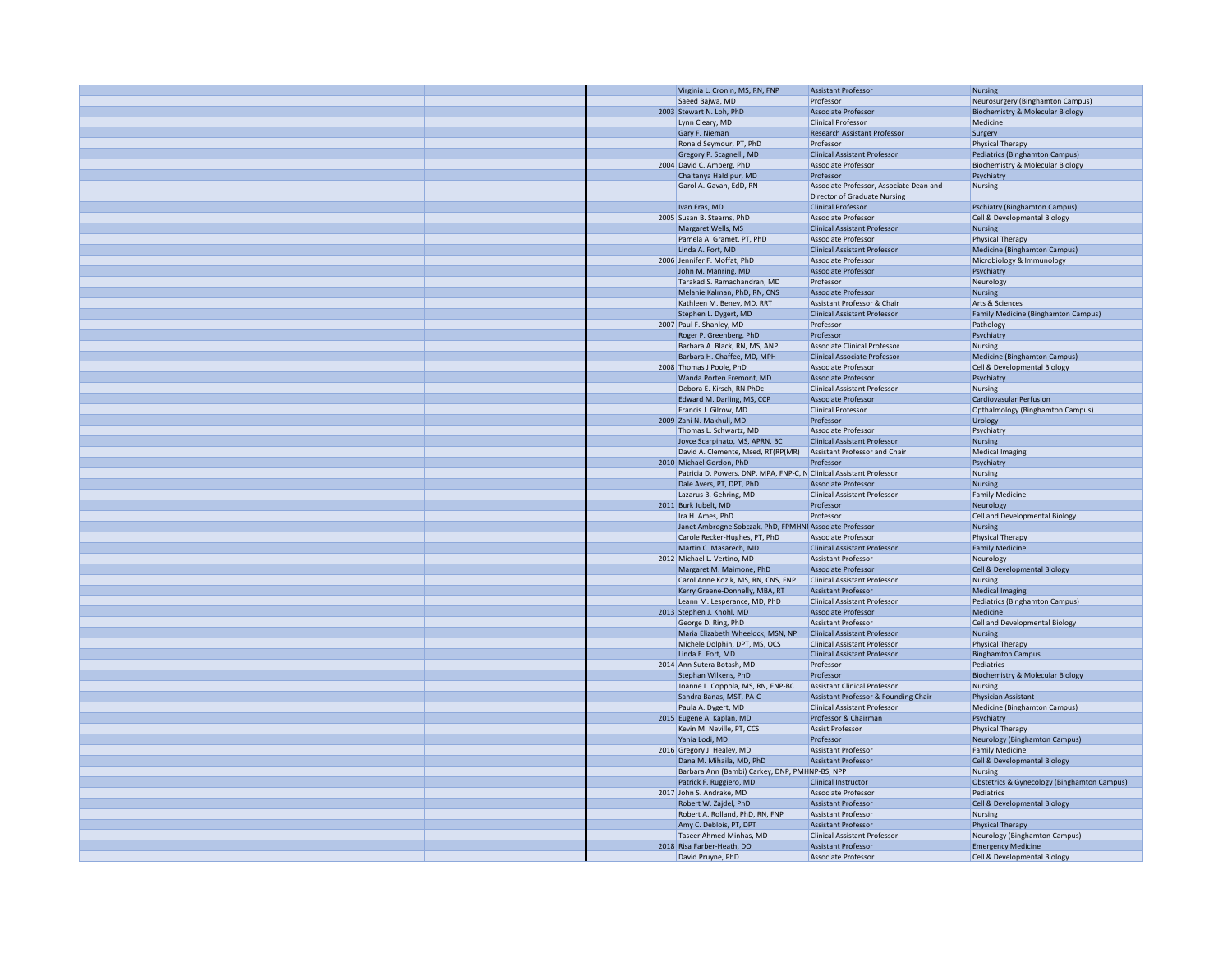|  |  | Virginia L. Cronin, MS, RN, FNP                                     | <b>Assistant Professor</b>              | <b>Nursing</b>                              |
|--|--|---------------------------------------------------------------------|-----------------------------------------|---------------------------------------------|
|  |  | Saeed Baiwa, MD                                                     | Professor                               | Neurosurgery (Binghamton Campus)            |
|  |  | 2003 Stewart N. Loh, PhD                                            | Associate Professor                     | <b>Biochemistry &amp; Molecular Biology</b> |
|  |  |                                                                     |                                         | Medicine                                    |
|  |  | Lynn Cleary, MD                                                     | <b>Clinical Professor</b>               |                                             |
|  |  | Gary F. Nieman                                                      | <b>Research Assistant Professor</b>     | Surgery                                     |
|  |  | Ronald Seymour, PT, PhD                                             | Professor                               | <b>Physical Therapy</b>                     |
|  |  | Gregory P. Scagnelli, MD                                            | <b>Clinical Assistant Professor</b>     | Pediatrics (Binghamton Campus)              |
|  |  | 2004 David C. Amberg, PhD                                           | Associate Professor                     | <b>Biochemistry &amp; Molecular Biology</b> |
|  |  | Chaitanya Haldipur, MD                                              | Professor                               | Psychiatry                                  |
|  |  | Garol A. Gavan, EdD, RN                                             | Associate Professor, Associate Dean and | Nursing                                     |
|  |  |                                                                     | <b>Director of Graduate Nursing</b>     |                                             |
|  |  | Ivan Fras, MD                                                       | <b>Clinical Professor</b>               | <b>Pschiatry (Binghamton Campus)</b>        |
|  |  | 2005 Susan B. Stearns, PhD                                          | Associate Professor                     | Cell & Developmental Biology                |
|  |  | Margaret Wells, MS                                                  | <b>Clinical Assistant Professor</b>     | <b>Nursing</b>                              |
|  |  | Pamela A. Gramet, PT, PhD                                           | Associate Professor                     | Physical Therapy                            |
|  |  | Linda A. Fort, MD                                                   |                                         |                                             |
|  |  |                                                                     | <b>Clinical Assistant Professor</b>     | Medicine (Binghamton Campus)                |
|  |  | 2006 Jennifer F. Moffat, PhD                                        | <b>Associate Professor</b>              | Microbiology & Immunology                   |
|  |  | John M. Manring, MD                                                 | <b>Associate Professor</b>              | Psychiatry                                  |
|  |  | Tarakad S. Ramachandran, MD                                         | Professor                               | Neurology                                   |
|  |  | Melanie Kalman, PhD, RN, CNS                                        | <b>Associate Professor</b>              | Nursing                                     |
|  |  | Kathleen M. Beney, MD, RRT                                          | Assistant Professor & Chair             | Arts & Sciences                             |
|  |  | Stephen L. Dygert, MD                                               | <b>Clinical Assistant Professor</b>     | Family Medicine (Binghamton Campus)         |
|  |  | 2007 Paul F. Shanley, MD                                            | Professor                               | Pathology                                   |
|  |  | Roger P. Greenberg, PhD                                             | Professor                               | Psychiatry                                  |
|  |  | Barbara A. Black, RN, MS, ANP                                       | Associate Clinical Professor            | Nursing                                     |
|  |  | Barbara H. Chaffee, MD, MPH                                         | Clinical Associate Professor            | Medicine (Binghamton Campus)                |
|  |  | 2008 Thomas J Poole, PhD                                            | <b>Associate Professor</b>              | Cell & Developmental Biology                |
|  |  | Wanda Porten Fremont, MD                                            | <b>Associate Professor</b>              | Psychiatry                                  |
|  |  | Debora E. Kirsch, RN PhDc                                           | <b>Clinical Assistant Professor</b>     | Nursing                                     |
|  |  | Edward M. Darling, MS, CCP                                          | <b>Associate Professor</b>              | <b>Cardiovasular Perfusion</b>              |
|  |  | Francis J. Gilrow, MD                                               | <b>Clinical Professor</b>               | Opthalmology (Binghamton Campus)            |
|  |  | 2009 Zahi N. Makhuli, MD                                            | Professor                               | Urology                                     |
|  |  | Thomas L. Schwartz, MD                                              | Associate Professor                     | Psychiatry                                  |
|  |  | Joyce Scarpinato, MS, APRN, BC                                      | <b>Clinical Assistant Professor</b>     | <b>Nursing</b>                              |
|  |  | David A. Clemente, Msed, RT(RP(MR)                                  | Assistant Professor and Chair           | <b>Medical Imaging</b>                      |
|  |  | 2010 Michael Gordon, PhD                                            | Professor                               | Psychiatry                                  |
|  |  | Patricia D. Powers, DNP, MPA, FNP-C, N Clinical Assistant Professor |                                         |                                             |
|  |  |                                                                     |                                         | Nursing                                     |
|  |  | Dale Avers, PT, DPT, PhD                                            | <b>Associate Professor</b>              | <b>Nursing</b>                              |
|  |  | Lazarus B. Gehring, MD                                              | <b>Clinical Assistant Professor</b>     | <b>Family Medicine</b>                      |
|  |  | 2011 Burk Jubelt, MD                                                | Professor                               | Neurology                                   |
|  |  | Ira H. Ames, PhD                                                    | Professor                               | Cell and Developmental Biology              |
|  |  | Janet Ambrogne Sobczak, PhD, FPMHNI Associate Professor             |                                         | <b>Nursing</b>                              |
|  |  | Carole Recker-Hughes, PT, PhD                                       | Associate Professor                     | <b>Physical Therapy</b>                     |
|  |  | Martin C. Masarech, MD                                              | <b>Clinical Assistant Professor</b>     | <b>Family Medicine</b>                      |
|  |  | 2012 Michael L. Vertino, MD                                         | <b>Assistant Professor</b>              | Neurology                                   |
|  |  | Margaret M. Maimone, PhD                                            | <b>Associate Professor</b>              | Cell & Developmental Biology                |
|  |  | Carol Anne Kozik, MS, RN, CNS, FNP                                  | <b>Clinical Assistant Professor</b>     | Nursing                                     |
|  |  | Kerry Greene-Donnelly, MBA, RT                                      | <b>Assistant Professor</b>              | <b>Medical Imaging</b>                      |
|  |  | Leann M. Lesperance, MD, PhD                                        | <b>Clinical Assistant Professor</b>     | Pediatrics (Binghamton Campus)              |
|  |  | 2013 Stephen J. Knohl, MD                                           | <b>Associate Professor</b>              | Medicine                                    |
|  |  | George D. Ring, PhD                                                 | <b>Assistant Professor</b>              | Cell and Developmental Biology              |
|  |  | Maria Elizabeth Wheelock, MSN, NP                                   | <b>Clinical Assistant Professor</b>     | Nursing                                     |
|  |  | Michele Dolphin, DPT, MS, OCS                                       | <b>Clinical Assistant Professor</b>     | Physical Therapy                            |
|  |  | Linda E. Fort, MD                                                   | <b>Clinical Assistant Professor</b>     | <b>Binghamton Campus</b>                    |
|  |  | 2014 Ann Sutera Botash, MD                                          | Professor                               | Pediatrics                                  |
|  |  | Stephan Wilkens, PhD                                                | Professor                               | <b>Biochemistry &amp; Molecular Biology</b> |
|  |  | Joanne L. Coppola, MS, RN, FNP-BC                                   | <b>Assistant Clinical Professor</b>     | Nursing                                     |
|  |  | Sandra Banas, MST, PA-C                                             | Assistant Professor & Founding Chair    | Physician Assistant                         |
|  |  | Paula A. Dygert, MD                                                 | <b>Clinical Assistant Professor</b>     | Medicine (Binghamton Campus)                |
|  |  | 2015 Eugene A. Kaplan, MD                                           | Professor & Chairman                    | Psychiatry                                  |
|  |  | Kevin M. Neville, PT, CCS                                           | <b>Assist Professor</b>                 | <b>Physical Therapy</b>                     |
|  |  | Yahia Lodi, MD                                                      | Professor                               | Neurology (Binghamton Campus)               |
|  |  |                                                                     | <b>Assistant Professor</b>              |                                             |
|  |  | 2016 Gregory J. Healey, MD                                          |                                         | <b>Family Medicine</b>                      |
|  |  | Dana M. Mihaila, MD, PhD                                            | <b>Assistant Professor</b>              | Cell & Developmental Biology                |
|  |  | Barbara Ann (Bambi) Carkey, DNP, PMHNP-BS, NPP                      |                                         | Nursing                                     |
|  |  | Patrick F. Ruggiero, MD                                             | <b>Clinical Instructor</b>              | Obstetrics & Gynecology (Binghamton Campus) |
|  |  | 2017 John S. Andrake, MD                                            | <b>Associate Professor</b>              | Pediatrics                                  |
|  |  | Robert W. Zajdel, PhD                                               | <b>Assistant Professor</b>              | Cell & Developmental Biology                |
|  |  | Robert A. Rolland, PhD, RN, FNP                                     | <b>Assistant Professor</b>              | Nursing                                     |
|  |  | Amy C. Deblois, PT, DPT                                             | <b>Assistant Professor</b>              | <b>Physical Therapy</b>                     |
|  |  | Taseer Ahmed Minhas, MD                                             | <b>Clinical Assistant Professor</b>     | Neurology (Binghamton Campus)               |
|  |  | 2018 Risa Farber-Heath, DO                                          | <b>Assistant Professor</b>              | <b>Emergency Medicine</b>                   |
|  |  | David Pruyne, PhD                                                   | Associate Professor                     | Cell & Developmental Biology                |